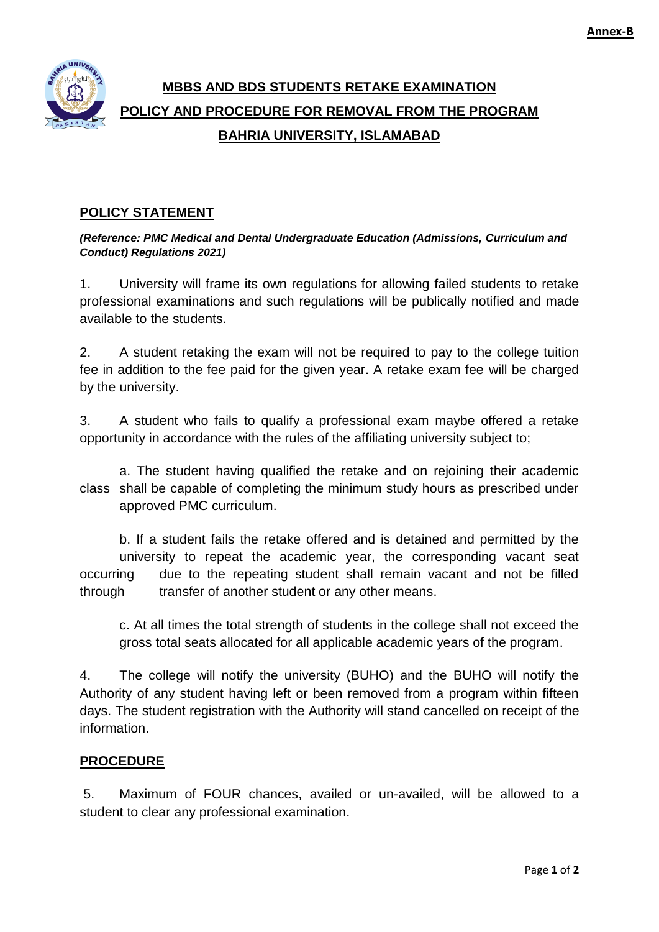

## **MBBS AND BDS STUDENTS RETAKE EXAMINATION POLICY AND PROCEDURE FOR REMOVAL FROM THE PROGRAM BAHRIA UNIVERSITY, ISLAMABAD**

## **POLICY STATEMENT**

*(Reference: PMC Medical and Dental Undergraduate Education (Admissions, Curriculum and Conduct) Regulations 2021)*

1. University will frame its own regulations for allowing failed students to retake professional examinations and such regulations will be publically notified and made available to the students.

2. A student retaking the exam will not be required to pay to the college tuition fee in addition to the fee paid for the given year. A retake exam fee will be charged by the university.

3. A student who fails to qualify a professional exam maybe offered a retake opportunity in accordance with the rules of the affiliating university subject to;

a. The student having qualified the retake and on rejoining their academic class shall be capable of completing the minimum study hours as prescribed under approved PMC curriculum.

b. If a student fails the retake offered and is detained and permitted by the university to repeat the academic year, the corresponding vacant seat occurring due to the repeating student shall remain vacant and not be filled through transfer of another student or any other means.

c. At all times the total strength of students in the college shall not exceed the gross total seats allocated for all applicable academic years of the program.

4. The college will notify the university (BUHO) and the BUHO will notify the Authority of any student having left or been removed from a program within fifteen days. The student registration with the Authority will stand cancelled on receipt of the information.

## **PROCEDURE**

5. Maximum of FOUR chances, availed or un-availed, will be allowed to a student to clear any professional examination.